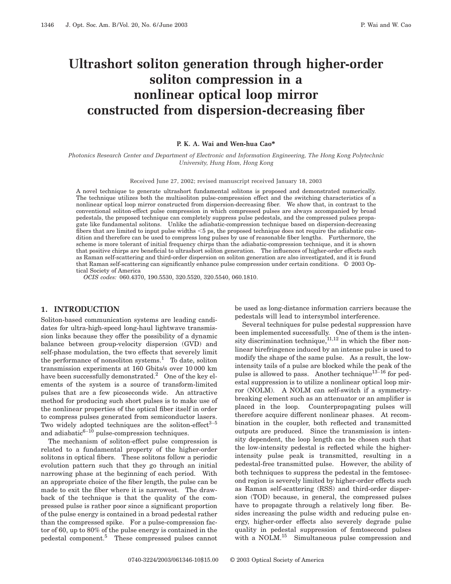# **Ultrashort soliton generation through higher-order soliton compression in a nonlinear optical loop mirror constructed from dispersion-decreasing fiber**

#### **P. K. A. Wai and Wen-hua Cao\***

*Photonics Research Center and Department of Electronic and Information Engineering, The Hong Kong Polytechnic University, Hung Hom, Hong Kong*

Received June 27, 2002; revised manuscript received January 18, 2003

A novel technique to generate ultrashort fundamental solitons is proposed and demonstrated numerically. The technique utilizes both the multisoliton pulse-compression effect and the switching characteristics of a nonlinear optical loop mirror constructed from dispersion-decreasing fiber. We show that, in contrast to the conventional soliton-effect pulse compression in which compressed pulses are always accompanied by broad pedestals, the proposed technique can completely suppress pulse pedestals, and the compressed pulses propagate like fundamental solitons. Unlike the adiabatic-compression technique based on dispersion-decreasing fibers that are limited to input pulse widths  $<5$  ps, the proposed technique does not require the adiabatic condition and therefore can be used to compress long pulses by use of reasonable fiber lengths. Furthermore, the scheme is more tolerant of initial frequency chirps than the adiabatic-compression technique, and it is shown that positive chirps are beneficial to ultrashort soliton generation. The influences of higher-order effects such as Raman self-scattering and third-order dispersion on soliton generation are also investigated, and it is found that Raman self-scattering can significantly enhance pulse compression under certain conditions. © 2003 Optical Society of America

*OCIS codes:* 060.4370, 190.5530, 320.5520, 320.5540, 060.1810.

## **1. INTRODUCTION**

Soliton-based communication systems are leading candidates for ultra-high-speed long-haul lightwave transmission links because they offer the possibility of a dynamic balance between group-velocity dispersion (GVD) and self-phase modulation, the two effects that severely limit the performance of nonsoliton systems.<sup>1</sup> To date, soliton transmission experiments at 160 Gbits/s over 10 000 km have been successfully demonstrated.<sup>2</sup> One of the key elements of the system is a source of transform-limited pulses that are a few picoseconds wide. An attractive method for producing such short pulses is to make use of the nonlinear properties of the optical fiber itself in order to compress pulses generated from semiconductor lasers. Two widely adopted techniques are the soliton-effect $3-5$ and adiabatic $6-10$  pulse-compression techniques.

The mechanism of soliton-effect pulse compression is related to a fundamental property of the higher-order solitons in optical fibers. These solitons follow a periodic evolution pattern such that they go through an initial narrowing phase at the beginning of each period. With an appropriate choice of the fiber length, the pulse can be made to exit the fiber where it is narrowest. The drawback of the technique is that the quality of the compressed pulse is rather poor since a significant proportion of the pulse energy is contained in a broad pedestal rather than the compressed spike. For a pulse-compression factor of 60, up to 80% of the pulse energy is contained in the pedestal component.5 These compressed pulses cannot be used as long-distance information carriers because the pedestals will lead to intersymbol interference.

Several techniques for pulse pedestal suppression have been implemented successfully. One of them is the intensity discrimination technique, $^{11,12}$  in which the fiber nonlinear birefringence induced by an intense pulse is used to modify the shape of the same pulse. As a result, the lowintensity tails of a pulse are blocked while the peak of the pulse is allowed to pass. Another technique<sup>13-16</sup> for pedestal suppression is to utilize a nonlinear optical loop mirror (NOLM). A NOLM can self-switch if a symmetrybreaking element such as an attenuator or an amplifier is placed in the loop. Counterpropagating pulses will therefore acquire different nonlinear phases. At recombination in the coupler, both reflected and transmitted outputs are produced. Since the transmission is intensity dependent, the loop length can be chosen such that the low-intensity pedestal is reflected while the higherintensity pulse peak is transmitted, resulting in a pedestal-free transmitted pulse. However, the ability of both techniques to suppress the pedestal in the femtosecond region is severely limited by higher-order effects such as Raman self-scattering (RSS) and third-order dispersion (TOD) because, in general, the compressed pulses have to propagate through a relatively long fiber. Besides increasing the pulse width and reducing pulse energy, higher-order effects also severely degrade pulse quality in pedestal suppression of femtosecond pulses with a NOLM.<sup>15</sup> Simultaneous pulse compression and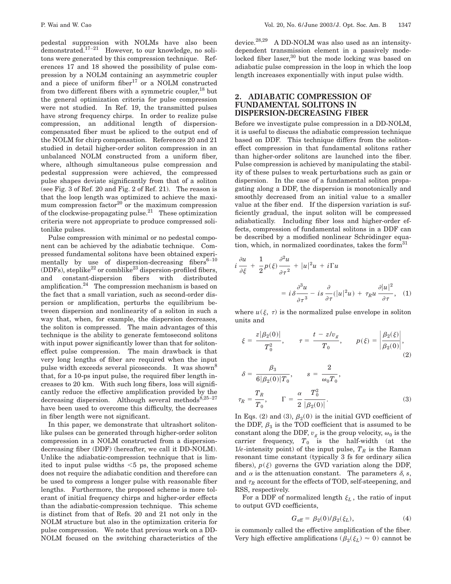pedestal suppression with NOLMs have also been demonstrated.17–<sup>21</sup> However, to our knowledge, no solitons were generated by this compression technique. References 17 and 18 showed the possibility of pulse compression by a NOLM containing an asymmetric coupler and a piece of uniform fiber<sup>17</sup> or a NOLM constructed from two different fibers with a symmetric coupler,  $^{18}$  but the general optimization criteria for pulse compression were not studied. In Ref. 19, the transmitted pulses have strong frequency chirps. In order to realize pulse compression, an additional length of dispersioncompensated fiber must be spliced to the output end of the NOLM for chirp compensation. References 20 and 21 studied in detail higher-order soliton compression in an unbalanced NOLM constructed from a uniform fiber, where, although simultaneous pulse compression and pedestal suppression were achieved, the compressed pulse shapes deviate significantly from that of a soliton (see Fig. 3 of Ref. 20 and Fig. 2 of Ref. 21). The reason is that the loop length was optimized to achieve the maximum compression factor $^{20}$  or the maximum compression of the clockwise-propagating pulse.21 These optimization criteria were not appropriate to produce compressed solitonlike pulses.

Pulse compression with minimal or no pedestal component can be achieved by the adiabatic technique. Compressed fundamental solitons have been obtained experimentally by use of dispersion-decreasing fibers $6-10$ (DDFs), steplike<sup>22</sup> or comblike<sup>23</sup> dispersion-profiled fibers, and constant-dispersion fibers with distributed amplification.24 The compression mechanism is based on the fact that a small variation, such as second-order dispersion or amplification, perturbs the equilibrium between dispersion and nonlinearity of a soliton in such a way that, when, for example, the dispersion decreases, the soliton is compressed. The main advantages of this technique is the ability to generate femtosecond solitons with input power significantly lower than that for solitoneffect pulse compression. The main drawback is that very long lengths of fiber are required when the input pulse width exceeds several picoseconds. It was shown<sup>8</sup> that, for a 10-ps input pulse, the required fiber length increases to 20 km. With such long fibers, loss will significantly reduce the effective amplification provided by the decreasing dispersion. Although several methods<sup>8,25-27</sup> have been used to overcome this difficulty, the decreases in fiber length were not significant.

In this paper, we demonstrate that ultrashort solitonlike pulses can be generated through higher-order soliton compression in a NOLM constructed from a dispersiondecreasing fiber (DDF) (hereafter, we call it DD-NOLM). Unlike the adiabatic-compression technique that is limited to input pulse widths  $\leq 5$  ps, the proposed scheme does not require the adiabatic condition and therefore can be used to compress a longer pulse with reasonable fiber lengths. Furthermore, the proposed scheme is more tolerant of initial frequency chirps and higher-order effects than the adiabatic-compression technique. This scheme is distinct from that of Refs. 20 and 21 not only in the NOLM structure but also in the optimization criteria for pulse compression. We note that previous work on a DD-NOLM focused on the switching characteristics of the

device.28,29 A DD-NOLM was also used as an intensitydependent transmission element in a passively modelocked fiber laser, $30$  but the mode locking was based on adiabatic pulse compression in the loop in which the loop length increases exponentially with input pulse width.

# **2. ADIABATIC COMPRESSION OF FUNDAMENTAL SOLITONS IN DISPERSION-DECREASING FIBER**

Before we investigate pulse compression in a DD-NOLM, it is useful to discuss the adiabatic compression technique based on DDF. This technique differs from the solitoneffect compression in that fundamental solitons rather than higher-order solitons are launched into the fiber. Pulse compression is achieved by manipulating the stability of these pulses to weak perturbations such as gain or dispersion. In the case of a fundamental soliton propagating along a DDF, the dispersion is monotonically and smoothly decreased from an initial value to a smaller value at the fiber end. If the dispersion variation is sufficiently gradual, the input soliton will be compressed adiabatically. Including fiber loss and higher-order effects, compression of fundamental solitons in a DDF can be described by a modified nonlinear Schrödinger equation, which, in normalized coordinates, takes the form $31$ 

$$
i\frac{\partial u}{\partial \xi} + \frac{1}{2}p(\xi)\frac{\partial^2 u}{\partial \tau^2} + |u|^2 u + i\Gamma u
$$
  
=  $i\delta \frac{\partial^3 u}{\partial \tau^3} - is\frac{\partial}{\partial \tau}(|u|^2 u) + \tau_R u \frac{\partial |u|^2}{\partial \tau},$  (1)

where  $u(\xi, \tau)$  is the normalized pulse envelope in soliton units and

$$
\xi = \frac{z|\beta_2(0)|}{T_0^2}, \qquad \tau = \frac{t - z/v_g}{T_0}, \qquad p(\xi) = \left|\frac{\beta_2(\xi)}{\beta_2(0)}\right|, \tag{2}
$$

$$
\delta = \frac{\beta_3}{6|\beta_2(0)|T_0}, \qquad s = \frac{2}{\omega_0 T_0},
$$

$$
\tau_R = \frac{T_R}{T_0}, \qquad \Gamma = \frac{\alpha}{2} \frac{T_0^2}{|\beta_2(0)|}.
$$
(3)

In Eqs. (2) and (3),  $\beta_2(0)$  is the initial GVD coefficient of the DDF,  $\beta_3$  is the TOD coefficient that is assumed to be constant along the DDF,  $v_g$  is the group velocity,  $\omega_0$  is the carrier frequency,  $T_0$  is the half-width (at the 1/*e*-intensity point) of the input pulse,  $T_R$  is the Raman resonant time constant (typically 3 fs for ordinary silica fibers),  $p(\xi)$  governs the GVD variation along the DDF, and  $\alpha$  is the attenuation constant. The parameters  $\delta$ , *s*, and  $\tau_R$  account for the effects of TOD, self-steepening, and RSS, respectively.

For a DDF of normalized length  $\xi_L$ , the ratio of input to output GVD coefficients,

$$
G_{\rm eff} = \beta_2(0)/\beta_2(\xi_L),\tag{4}
$$

is commonly called the effective amplification of the fiber. Very high effective amplifications ( $\beta_2(\xi_L) \approx 0$ ) cannot be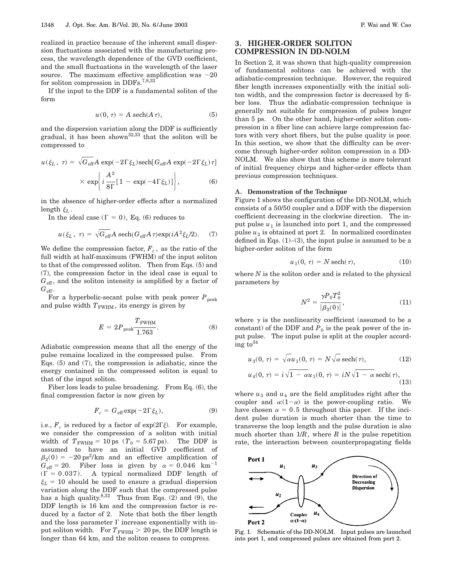realized in practice because of the inherent small dispersion fluctuations associated with the manufacturing process, the wavelength dependence of the GVD coefficient, and the small fluctuations in the wavelength of the laser source. The maximum effective amplification was  $\sim$ 20 for soliton compression in DDFs.<sup>7,8,32</sup>

If the input to the DDF is a fundamental soliton of the form

$$
u(0, \tau) = A \operatorname{sech}(A \tau), \tag{5}
$$

and the dispersion variation along the DDF is sufficiently gradual, it has been shown<sup>32,33</sup> that the soliton will be compressed to

$$
u(\xi_L, \tau) = \sqrt{G_{\text{eff}}}A \exp(-2\Gamma\xi_L)\text{sech}[G_{\text{eff}}A \exp(-2\Gamma\xi_L)\tau]
$$

$$
\times \exp\left\{i\frac{A^2}{8\Gamma}[1 - \exp(-4\Gamma\xi_L)]\right\},\tag{6}
$$

in the absence of higher-order effects after a normalized length  $\xi_L$ .

In the ideal case  $(\Gamma = 0)$ , Eq. (6) reduces to

$$
u(\xi_L,~\tau) = \sqrt{G_{\rm eff}} A ~{\rm sech}(G_{\rm eff} A \, \tau) {\rm exp}(i A^2 \xi_L/2).~~(7)
$$

We define the compression factor,  $F_c$ , as the ratio of the full width at half-maximum (FWHM) of the input soliton to that of the compressed soliton. Then from Eqs. (5) and (7), the compression factor in the ideal case is equal to  $G<sub>eff</sub>$ , and the soliton intensity is amplified by a factor of  $G_{\text{eff}}$ .

For a hyperbolic-secant pulse with peak power  $P_{\text{peak}}$ and pulse width  $T_{\text{FWHM}}$ , its energy is given by

$$
E = 2P_{\text{peak}} \frac{T_{\text{FWHM}}}{1.763}.
$$
 (8)

Adiabatic compression means that all the energy of the pulse remains localized in the compressed pulse. From Eqs. (5) and (7), the compression is adiabatic, since the energy contained in the compressed soliton is equal to that of the input soliton.

Fiber loss leads to pulse broadening. From Eq. (6), the final compression factor is now given by

$$
F_c = G_{\text{eff}} \exp(-2\Gamma \xi_L), \tag{9}
$$

i.e.,  $F_c$  is reduced by a factor of  $\exp(2\Gamma\xi)$ . For example, we consider the compression of a soliton with initial width of  $T_{\text{FWHM}} = 10 \text{ ps } (T_0 = 5.67 \text{ ps})$ . The DDF is assumed to have an initial GVD coefficient of  $\beta_2(0) = -20 \text{ ps}^2/\text{km}$  and an effective amplification of  $G_{\text{eff}} = 20$ . Fiber loss is given by  $\alpha = 0.046$  km<sup>-1</sup>  $(\Gamma = 0.037)$ . A typical normalized DDF length of  $\xi_L = 10$  should be used to ensure a gradual dispersion variation along the DDF such that the compressed pulse has a high quality.<sup>8,32</sup> Thus from Eqs.  $(2)$  and  $(9)$ , the DDF length is 16 km and the compression factor is reduced by a factor of 2. Note that both the fiber length and the loss parameter  $\Gamma$  increase exponentially with input soliton width. For  $T_{\text{FWHM}} > 20$  ps, the DDF length is longer than 64 km, and the soliton ceases to compress.

# **3. HIGHER-ORDER SOLITON COMPRESSION IN DD-NOLM**

In Section 2, it was shown that high-quality compression of fundamental solitons can be achieved with the adiabatic-compression technique. However, the required fiber length increases exponentially with the initial soliton width, and the compression factor is decreased by fiber loss. Thus the adiabatic-compression technique is generally not suitable for compression of pulses longer than 5 ps. On the other hand, higher-order soliton compression in a fiber line can achieve large compression factors with very short fibers, but the pulse quality is poor. In this section, we show that the difficulty can be overcome through higher-order soliton compression in a DD-NOLM. We also show that this scheme is more tolerant of initial frequency chirps and higher-order effects than previous compression techniques.

#### **A. Demonstration of the Technique**

Figure 1 shows the configuration of the DD-NOLM, which consists of a 50/50 coupler and a DDF with the dispersion coefficient decreasing in the clockwise direction. The input pulse  $u_1$  is launched into port 1, and the compressed pulse  $u_2$  is obtained at port 2. In normalized coordinates defined in Eqs.  $(1)$ – $(3)$ , the input pulse is assumed to be a higher-order soliton of the form

$$
u_1(0, \tau) = N \operatorname{sech}(\tau), \tag{10}
$$

where *N* is the soliton order and is related to the physical parameters by

$$
N^2 = \frac{\gamma P_0 T_0^2}{|\beta_2(0)|},\tag{11}
$$

where  $\gamma$  is the nonlinearity coefficient (assumed to be a constant) of the DDF and  $P_0$  is the peak power of the input pulse. The input pulse is split at the coupler according to  $34$ 

$$
u_3(0, \tau) = \sqrt{\alpha}u_1(0, \tau) = N\sqrt{\alpha} \operatorname{sech}(\tau), \qquad (12)
$$

$$
u_4(0, \tau) = i\sqrt{1 - \alpha}u_1(0, \tau) = iN\sqrt{1 - \alpha} \operatorname{sech}(\tau),
$$

$$
u_4(0, \tau) = i \sqrt{1 - \alpha} u_1(0, \tau) = iN \sqrt{1 - \alpha} \operatorname{sech}(\tau),
$$
\n(13)

where  $u_3$  and  $u_4$  are the field amplitudes right after the coupler and  $\alpha$ : $(1-\alpha)$  is the power-coupling ratio. We have chosen  $\alpha = 0.5$  throughout this paper. If the incident pulse duration is much shorter than the time to transverse the loop length and the pulse duration is also much shorter than  $1/R$ , where  $R$  is the pulse repetition rate, the interaction between counterpropagating fields



Fig. 1. Schematic of the DD-NOLM. Input pulses are launched into port 1, and compressed pulses are obtained from port 2.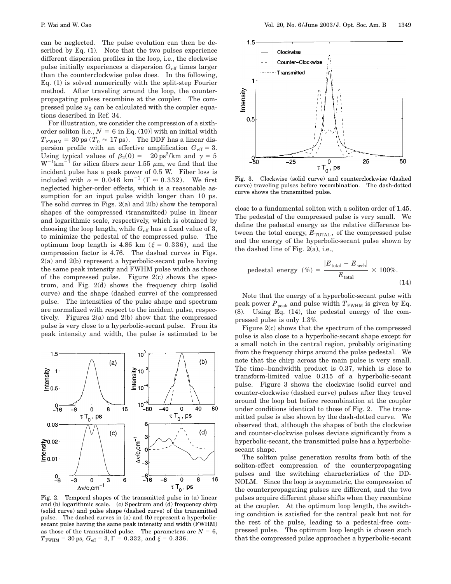can be neglected. The pulse evolution can then be described by Eq. (1). Note that the two pulses experience different dispersion profiles in the loop, i.e., the clockwise pulse initially experiences a dispersion  $G_{\text{eff}}$  times larger than the counterclockwise pulse does. In the following, Eq. (1) is solved numerically with the split-step Fourier method. After traveling around the loop, the counterpropagating pulses recombine at the coupler. The compressed pulse  $u_2$  can be calculated with the coupler equations described in Ref. 34.

For illustration, we consider the compression of a sixthorder soliton [i.e.,  $N = 6$  in Eq. (10)] with an initial width  $T_{\text{FWHM}} = 30 \text{ ps } (T_0 \approx 17 \text{ ps})$ . The DDF has a linear dispersion profile with an effective amplification  $G_{\text{eff}} = 3$ . Using typical values of  $\beta_2(0) = -20 \text{ ps}^2/\text{km}$  and  $\gamma = 5$  $\text{W}^{-1}\text{km}^{-1}$  for silica fibers near 1.55  $\mu$ m, we find that the incident pulse has a peak power of 0.5 W. Fiber loss is included with  $\alpha = 0.046$  km<sup>-1</sup> ( $\Gamma \approx 0.332$ ). We first neglected higher-order effects, which is a reasonable assumption for an input pulse width longer than 10 ps. The solid curves in Figs. 2(a) and 2(b) show the temporal shapes of the compressed (transmitted) pulse in linear and logarithmic scale, respectively, which is obtained by choosing the loop length, while  $G_{\text{eff}}$  has a fixed value of 3, to minimize the pedestal of the compressed pulse. The optimum loop length is 4.86 km ( $\xi = 0.336$ ), and the compression factor is 4.76. The dashed curves in Figs. 2(a) and 2(b) represent a hyperbolic-secant pulse having the same peak intensity and FWHM pulse width as those of the compressed pulse. Figure  $2(c)$  shows the spectrum, and Fig. 2(d) shows the frequency chirp (solid curve) and the shape (dashed curve) of the compressed pulse. The intensities of the pulse shape and spectrum are normalized with respect to the incident pulse, respectively. Figures 2(a) and 2(b) show that the compressed pulse is very close to a hyperbolic-secant pulse. From its peak intensity and width, the pulse is estimated to be



Fig. 2. Temporal shapes of the transmitted pulse in (a) linear and (b) logarithmic scale. (c) Spectrum and (d) frequency chirp (solid curve) and pulse shape (dashed curve) of the transmitted pulse. The dashed curves in (a) and (b) represent a hyperbolicsecant pulse having the same peak intensity and width (FWHM) as those of the transmitted pulse. The parameters are  $N = 6$ ,  $T_{\text{FWHM}} = 30 \text{ ps}, G_{\text{eff}} = 3, \Gamma = 0.332, \text{ and } \xi = 0.336.$ 



Fig. 3. Clockwise (solid curve) and counterclockwise (dashed curve) traveling pulses before recombination. The dash-dotted curve shows the transmitted pulse.

close to a fundamental soliton with a soliton order of 1.45. The pedestal of the compressed pulse is very small. We define the pedestal energy as the relative difference between the total energy,  $E_{\text{TOTAL}}$ , of the compressed pulse and the energy of the hyperbolic-secant pulse shown by the dashed line of Fig. 2(a), i.e.,

pedestal energy

\n
$$
\left(\% \right) = \frac{|E_{\text{total}} - E_{\text{sech}}|}{E_{\text{total}}} \times 100\%.
$$
\n(14)

Note that the energy of a hyperbolic-secant pulse with peak power  $P_{\text{peak}}$  and pulse width  $T_{\text{FWHM}}$  is given by Eq. (8). Using Eq. (14), the pedestal energy of the compressed pulse is only 1.3%.

Figure 2(c) shows that the spectrum of the compressed pulse is also close to a hyperbolic-secant shape except for a small notch in the central region, probably originating from the frequency chirps around the pulse pedestal. We note that the chirp across the main pulse is very small. The time–bandwidth product is 0.37, which is close to transform-limited value 0.315 of a hyperbolic-secant pulse. Figure 3 shows the clockwise (solid curve) and counter-clockwise (dashed curve) pulses after they travel around the loop but before recombination at the coupler under conditions identical to those of Fig. 2. The transmitted pulse is also shown by the dash-dotted curve. We observed that, although the shapes of both the clockwise and counter-clockwise pulses deviate significantly from a hyperbolic-secant, the transmitted pulse has a hyperbolicsecant shape.

The soliton pulse generation results from both of the soliton-effect compression of the counterpropagating pulses and the switching characteristics of the DD-NOLM. Since the loop is asymmetric, the compression of the counterpropagating pulses are different, and the two pulses acquire different phase shifts when they recombine at the coupler. At the optimum loop length, the switching condition is satisfied for the central peak but not for the rest of the pulse, leading to a pedestal-free compressed pulse. The optimum loop length is chosen such that the compressed pulse approaches a hyperbolic-secant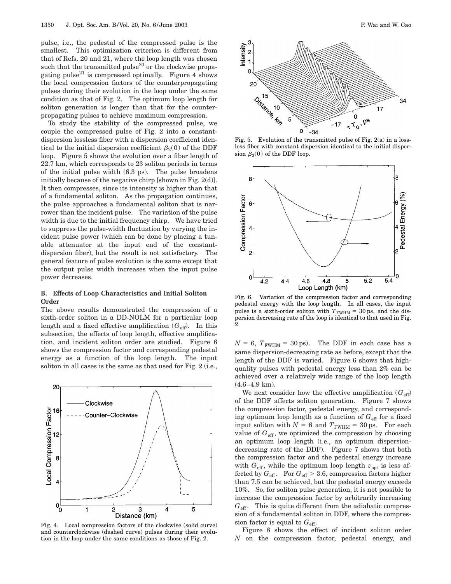pulse, i.e., the pedestal of the compressed pulse is the smallest. This optimization criterion is different from that of Refs. 20 and 21, where the loop length was chosen such that the transmitted pulse $^{20}$  or the clockwise propagating pulse<sup>21</sup> is compressed optimally. Figure 4 shows the local compression factors of the counterpropagating pulses during their evolution in the loop under the same condition as that of Fig. 2. The optimum loop length for soliton generation is longer than that for the counterpropagating pulses to achieve maximum compression.

To study the stability of the compressed pulse, we couple the compressed pulse of Fig. 2 into a constantdispersion lossless fiber with a dispersion coefficient identical to the initial dispersion coefficient  $\beta_2(0)$  of the DDF loop. Figure 5 shows the evolution over a fiber length of 22.7 km, which corresponds to 23 soliton periods in terms of the initial pulse width (6.3 ps). The pulse broadens initially because of the negative chirp [shown in Fig. 2(d)]. It then compresses, since its intensity is higher than that of a fundamental soliton. As the propagation continues, the pulse approaches a fundamental soliton that is narrower than the incident pulse. The variation of the pulse width is due to the initial frequency chirp. We have tried to suppress the pulse-width fluctuation by varying the incident pulse power (which can be done by placing a tunable attenuator at the input end of the constantdispersion fiber), but the result is not satisfactory. The general feature of pulse evolution is the same except that the output pulse width increases when the input pulse power decreases.

### **B. Effects of Loop Characteristics and Initial Soliton Order**

The above results demonstrated the compression of a sixth-order soliton in a DD-NOLM for a particular loop length and a fixed effective amplification  $(G_{\text{eff}})$ . In this subsection, the effects of loop length, effective amplification, and incident soliton order are studied. Figure 6 shows the compression factor and corresponding pedestal energy as a function of the loop length. The input soliton in all cases is the same as that used for Fig. 2 (i.e.,



Fig. 4. Local compression factors of the clockwise (solid curve) and counterclockwise (dashed curve) pulses during their evolution in the loop under the same conditions as those of Fig. 2.



Fig. 5. Evolution of the transmitted pulse of Fig.  $2(a)$  in a lossless fiber with constant dispersion identical to the initial dispersion  $\beta_2(0)$  of the DDF loop.



Fig. 6. Variation of the compression factor and corresponding pedestal energy with the loop length. In all cases, the input pulse is a sixth-order soliton with  $T_{\text{FWHM}} = 30 \text{ ps}$ , and the dispersion decreasing rate of the loop is identical to that used in Fig. 2.

 $N = 6$ ,  $T_{\text{FWHM}} = 30 \text{ ps}$ . The DDF in each case has a same dispersion-decreasing rate as before, except that the length of the DDF is varied. Figure 6 shows that highquality pulses with pedestal energy less than 2% can be achieved over a relatively wide range of the loop length (4.6–4.9 km).

We next consider how the effective amplification  $(G_{\text{eff}})$ of the DDF affects soliton generation. Figure 7 shows the compression factor, pedestal energy, and corresponding optimum loop length as a function of  $G_{\text{eff}}$  for a fixed input soliton with  $N = 6$  and  $T_{\text{FWHM}} = 30 \text{ ps}$ . For each value of  $G_{\text{eff}}$ , we optimized the compression by choosing an optimum loop length (i.e., an optimum dispersiondecreasing rate of the DDF). Figure 7 shows that both the compression factor and the pedestal energy increase with  $G_{\text{eff}}$ , while the optimum loop length  $z_{\text{opt}}$  is less affected by  $G_{\text{eff}}$ . For  $G_{\text{eff}} > 3.6$ , compression factors higher than 7.5 can be achieved, but the pedestal energy exceeds 10%. So, for soliton pulse generation, it is not possible to increase the compression factor by arbitrarily increasing  $G<sub>eff</sub>$ . This is quite different from the adiabatic compression of a fundamental soliton in DDF, where the compression factor is equal to  $G_{\text{eff}}$ .

Figure 8 shows the effect of incident soliton order *N* on the compression factor, pedestal energy, and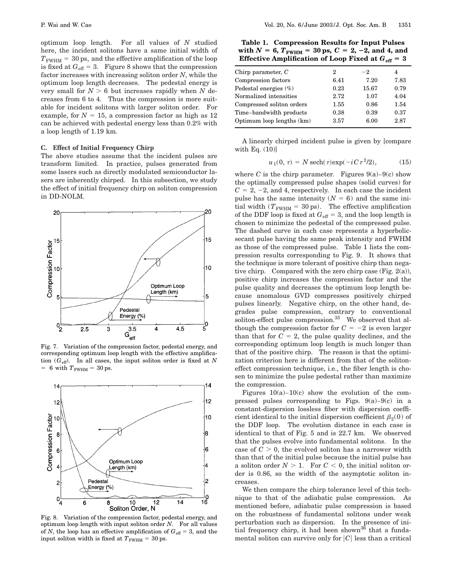optimum loop length. For all values of *N* studied here, the incident solitons have a same initial width of  $T_{\text{FWHM}} = 30 \text{ ps}$ , and the effective amplification of the loop is fixed at  $G_{\text{eff}} = 3$ . Figure 8 shows that the compression factor increases with increasing soliton order *N*, while the optimum loop length decreases. The pedestal energy is very small for  $N > 6$  but increases rapidly when N decreases from 6 to 4. Thus the compression is more suitable for incident solitons with larger soliton order. For example, for  $N = 15$ , a compression factor as high as 12 can be achieved with pedestal energy less than 0.2% with a loop length of 1.19 km.

#### **C. Effect of Initial Frequency Chirp**

The above studies assume that the incident pulses are transform limited. In practice, pulses generated from some lasers such as directly modulated semiconductor lasers are inherently chirped. In this subsection, we study the effect of initial frequency chirp on soliton compression in DD-NOLM.



Fig. 7. Variation of the compression factor, pedestal energy, and corresponding optimum loop length with the effective amplification (*G*eff). In all cases, the input soliton order is fixed at *N*  $= 6$  with  $T_{\text{FWHM}} = 30$  ps.



Fig. 8. Variation of the compression factor, pedestal energy, and optimum loop length with input soliton order *N*. For all values of *N*, the loop has an effective amplification of  $G_{\text{eff}} = 3$ , and the input soliton width is fixed at  $T_{\text{FWHM}} = 30 \text{ ps}.$ 

**Table 1. Compression Results for Input Pulses**  $\text{with } N = 6, T_{\text{FWHM}} = 30 \text{ ps}, C = 2, -2, \text{ and } 4, \text{ and}$ **Effective Amplification of Loop Fixed at**  $G_{\text{eff}} = 3$ 

|                           |      |       | .    |
|---------------------------|------|-------|------|
| Chirp parameter, $C$      | 2    | $-2$  | 4    |
| Compression factors       | 6.41 | 7.20  | 7.83 |
| Pedestal energies $(\%)$  | 0.23 | 15.67 | 0.79 |
| Normalized intensities    | 2.72 | 1.07  | 4.04 |
| Compressed soliton orders | 1.55 | 0.86  | 1.54 |
| Time-bandwidth products   | 0.38 | 0.39  | 0.37 |
| Optimum loop lengths (km) | 3.57 | 6.00  | 2.87 |
|                           |      |       |      |

A linearly chirped incident pulse is given by [compare with Eq. (10)]

$$
u_1(0, \tau) = N \operatorname{sech}(\tau) \exp(-i C \tau^2 / 2), \tag{15}
$$

where *C* is the chirp parameter. Figures  $9(a)-9(c)$  show the optimally compressed pulse shapes (solid curves) for  $C = 2, -2,$  and 4, respectively. In each case the incident pulse has the same intensity  $(N = 6)$  and the same initial width ( $T_{\text{FWHM}} = 30 \text{ ps}$ ). The effective amplification of the DDF loop is fixed at  $G_{\text{eff}} = 3$ , and the loop length is chosen to minimize the pedestal of the compressed pulse. The dashed curve in each case represents a hyperbolicsecant pulse having the same peak intensity and FWHM as those of the compressed pulse. Table 1 lists the compression results corresponding to Fig. 9. It shows that the technique is more tolerant of positive chirp than negative chirp. Compared with the zero chirp case (Fig. 2(a)), positive chirp increases the compression factor and the pulse quality and decreases the optimum loop length because anomalous GVD compresses positively chirped pulses linearly. Negative chirp, on the other hand, degrades pulse compression, contrary to conventional soliton-effect pulse compression.<sup>35</sup> We observed that although the compression factor for  $C = -2$  is even larger than that for  $C = 2$ , the pulse quality declines, and the corresponding optimum loop length is much longer than that of the positive chirp. The reason is that the optimization criterion here is different from that of the solitoneffect compression technique, i.e., the fiber length is chosen to minimize the pulse pedestal rather than maximize the compression.

Figures  $10(a)-10(c)$  show the evolution of the compressed pulses corresponding to Figs.  $9(a)-9(c)$  in a constant-dispersion lossless fiber with dispersion coefficient identical to the initial dispersion coefficient  $\beta_2(0)$  of the DDF loop. The evolution distance in each case is identical to that of Fig. 5 and is 22.7 km. We observed that the pulses evolve into fundamental solitons. In the case of  $C > 0$ , the evolved soliton has a narrower width than that of the initial pulse because the initial pulse has a soliton order  $N > 1$ . For  $C < 0$ , the initial soliton order is 0.86, so the width of the asymptotic soliton increases.

We then compare the chirp tolerance level of this technique to that of the adiabatic pulse compression. As mentioned before, adiabatic pulse compression is based on the robustness of fundamental solitons under weak perturbation such as dispersion. In the presence of initial frequency chirp, it had been shown<sup>36</sup> that a fundamental soliton can survive only for  $|C|$  less than a critical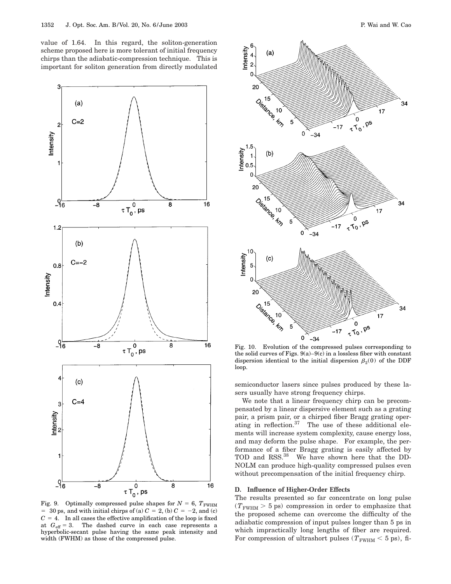value of 1.64. In this regard, the soliton-generation scheme proposed here is more tolerant of initial frequency chirps than the adiabatic-compression technique. This is important for soliton generation from directly modulated



Fig. 9. Optimally compressed pulse shapes for  $N = 6$ ,  $T_{\text{FWHM}}$  $=$  30 ps, and with initial chirps of (a)  $C = 2$ , (b)  $C = -2$ , and (c)  $C = 4$ . In all cases the effective amplification of the loop is fixed at  $G_{\text{eff}} = 3$ . The dashed curve in each case represents a hyperbolic-secant pulse having the same peak intensity and width (FWHM) as those of the compressed pulse.



Fig. 10. Evolution of the compressed pulses corresponding to the solid curves of Figs.  $9(a)-9(c)$  in a lossless fiber with constant dispersion identical to the initial dispersion  $\beta_2(0)$  of the DDF loop.

semiconductor lasers since pulses produced by these lasers usually have strong frequency chirps.

We note that a linear frequency chirp can be precompensated by a linear dispersive element such as a grating pair, a prism pair, or a chirped fiber Bragg grating operating in reflection.<sup>37</sup> The use of these additional elements will increase system complexity, cause energy loss, and may deform the pulse shape. For example, the performance of a fiber Bragg grating is easily affected by TOD and RSS.<sup>38</sup> We have shown here that the DD-NOLM can produce high-quality compressed pulses even without precompensation of the initial frequency chirp.

## **D. Influence of Higher-Order Effects**

The results presented so far concentrate on long pulse  $(T_{\text{FWHM}} > 5 \text{ ps})$  compression in order to emphasize that the proposed scheme can overcome the difficulty of the adiabatic compression of input pulses longer than 5 ps in which impractically long lengths of fiber are required. For compression of ultrashort pulses ( $T_{\text{FWHM}} < 5$  ps), fi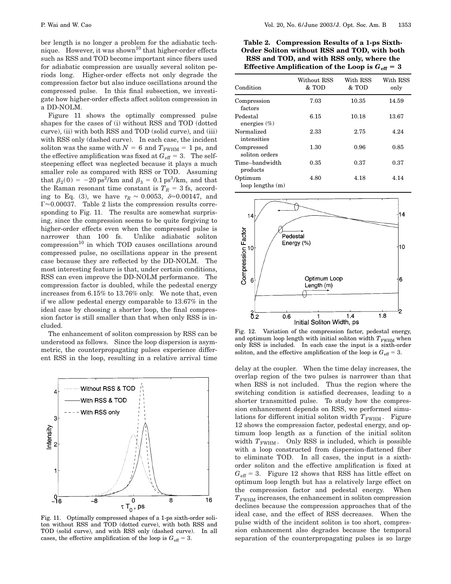ber length is no longer a problem for the adiabatic technique. However, it was shown<sup>10</sup> that higher-order effects such as RSS and TOD become important since fibers used for adiabatic compression are usually several soliton periods long. Higher-order effects not only degrade the compression factor but also induce oscillations around the compressed pulse. In this final subsection, we investigate how higher-order effects affect soliton compression in a DD-NOLM.

Figure 11 shows the optimally compressed pulse shapes for the cases of (i) without RSS and TOD (dotted curve), (ii) with both RSS and TOD (solid curve), and (iii) with RSS only (dashed curve). In each case, the incident soliton was the same with  $N = 6$  and  $T_{\text{FWHM}} = 1$  ps, and the effective amplification was fixed at  $G_{\text{eff}} = 3$ . The selfsteepening effect was neglected because it plays a much smaller role as compared with RSS or TOD. Assuming that  $\beta_2(0) = -20 \text{ ps}^2/\text{km}$  and  $\beta_3 = 0.1 \text{ ps}^3/\text{km}$ , and that the Raman resonant time constant is  $T_R = 3$  fs, according to Eq. (3), we have  $\tau_R \approx 0.0053$ ,  $\delta \approx 0.00147$ , and  $\Gamma \approx 0.00037$ . Table 2 lists the compression results corresponding to Fig. 11. The results are somewhat surprising, since the compression seems to be quite forgiving to higher-order effects even when the compressed pulse is narrower than 100 fs. Unlike adiabatic soliton  $compression<sup>10</sup>$  in which TOD causes oscillations around compressed pulse, no oscillations appear in the present case because they are reflected by the DD-NOLM. The most interesting feature is that, under certain conditions, RSS can even improve the DD-NOLM performance. The compression factor is doubled, while the pedestal energy increases from 6.15% to 13.76% only. We note that, even if we allow pedestal energy comparable to 13.67% in the ideal case by choosing a shorter loop, the final compression factor is still smaller than that when only RSS is included.

The enhancement of soliton compression by RSS can be understood as follows. Since the loop dispersion is asymmetric, the counterpropagating pulses experience different RSS in the loop, resulting in a relative arrival time



Fig. 11. Optimally compressed shapes of a 1-ps sixth-order soliton without RSS and TOD (dotted curve), with both RSS and TOD (solid curve), and with RSS only (dashed curve). In all cases, the effective amplification of the loop is  $G_{\text{eff}} = 3$ .

**Table 2. Compression Results of a 1-ps Sixth-Order Soliton without RSS and TOD, with both RSS and TOD, and with RSS only, where the Effective Amplification of the Loop is**  $G_{\text{eff}} = 3$ 

| Condition                    | Without RSS<br>& TOD | With RSS<br>& TOD | With RSS<br>only |
|------------------------------|----------------------|-------------------|------------------|
| Compression<br>factors       | 7.03                 | 10.35             | 14.59            |
| Pedestal<br>energies $(\% )$ | 6.15                 | 10.18             | 13.67            |
| Normalized<br>intensities    | 2.33                 | 2.75              | 4.24             |
| Compressed<br>soliton orders | 1.30                 | 0.96              | 0.85             |
| Time-bandwidth<br>products   | 0.35                 | 0.37              | 0.37             |
| Optimum<br>loop lengths (m)  | 4.80                 | 4.18              | 4.14             |



Fig. 12. Variation of the compression factor, pedestal energy, and optimum loop length with initial soliton width  $T_{\text{FWHM}}$  when only RSS is included. In each case the input is a sixth-order soliton, and the effective amplification of the loop is  $G_{\text{eff}} = 3$ .

delay at the coupler. When the time delay increases, the overlap region of the two pulses is narrower than that when RSS is not included. Thus the region where the switching condition is satisfied decreases, leading to a shorter transmitted pulse. To study how the compression enhancement depends on RSS, we performed simulations for different initial soliton width  $T_{\text{FWHM}}$ . Figure 12 shows the compression factor, pedestal energy, and optimum loop length as a function of the initial soliton width  $T_{\text{FWHM}}$ . Only RSS is included, which is possible with a loop constructed from dispersion-flattened fiber to eliminate TOD. In all cases, the input is a sixthorder soliton and the effective amplification is fixed at  $G_{\text{eff}} = 3$ . Figure 12 shows that RSS has little effect on optimum loop length but has a relatively large effect on the compression factor and pedestal energy. When  $T<sub>FWHM</sub>$  increases, the enhancement in soliton compression declines because the compression approaches that of the ideal case, and the effect of RSS decreases. When the pulse width of the incident soliton is too short, compression enhancement also degrades because the temporal separation of the counterpropagating pulses is so large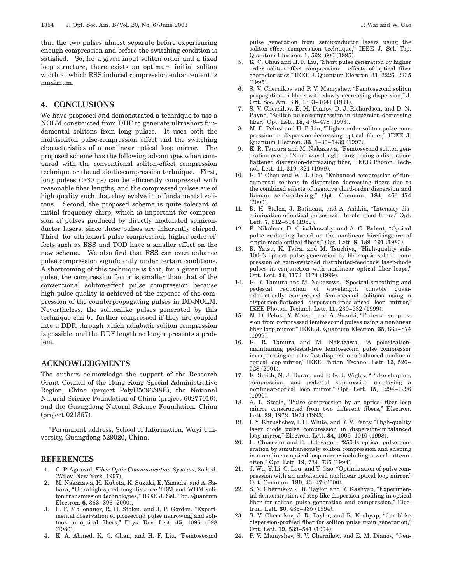that the two pulses almost separate before experiencing enough compression and before the switching condition is satisfied. So, for a given input soliton order and a fixed loop structure, there exists an optimum initial soliton width at which RSS induced compression enhancement is maximum.

## **4. CONCLUSIONS**

We have proposed and demonstrated a technique to use a NOLM constructed from DDF to generate ultrashort fundamental solitons from long pulses. It uses both the multisoliton pulse-compression effect and the switching characteristics of a nonlinear optical loop mirror. The proposed scheme has the following advantages when compared with the conventional soliton-effect compression technique or the adiabatic-compression technique. First, long pulses  $(>=30 \text{ ps})$  can be efficiently compressed with reasonable fiber lengths, and the compressed pulses are of high quality such that they evolve into fundamental solitons. Second, the proposed scheme is quite tolerant of initial frequency chirp, which is important for compression of pulses produced by directly modulated semiconductor lasers, since these pulses are inherently chirped. Third, for ultrashort pulse compression, higher-order effects such as RSS and TOD have a smaller effect on the new scheme. We also find that RSS can even enhance pulse compression significantly under certain conditions. A shortcoming of this technique is that, for a given input pulse, the compression factor is smaller than that of the conventional soliton-effect pulse compression because high pulse quality is achieved at the expense of the compression of the counterpropagating pulses in DD-NOLM. Nevertheless, the solitonlike pulses generated by this technique can be further compressed if they are coupled into a DDF, through which adiabatic soliton compression is possible, and the DDF length no longer presents a problem.

### **ACKNOWLEDGMENTS**

The authors acknowledge the support of the Research Grant Council of the Hong Kong Special Administrative Region, China (project PolyU5096/98E), the National Natural Science Foundation of China (project 60277016), and the Guangdong Natural Science Foundation, China (project 021357).

\*Permanent address, School of Information, Wuyi University, Guangdong 529020, China.

### **REFERENCES**

- 1. G. P. Agrawal, *Fiber-Optic Communication Systems*, 2nd ed. (Wiley, New York, 1997).
- 2. M. Nakazawa, H. Kubota, K. Suzuki, E. Yamada, and A. Sahara, "Ultrahigh-speed long-distance TDM and WDM soliton transmission technologies,'' IEEE J. Sel. Top. Quantum Electron. **6**, 363–396 (2000).
- 3. L. F. Mollenauer, R. H. Stolen, and J. P. Gordon, "Experimental observation of picosecond pulse narrowing and solitons in optical fibers,'' Phys. Rev. Lett. **45**, 1095–1098 (1980).
- 4. K. A. Ahmed, K. C. Chan, and H. F. Liu, "Femtosecond

pulse generation from semiconductor lasers using the soliton-effect compression technique," IEEE J. Sel. Top. Quantum Electron. **1**, 592–600 (1995).

- 5. K. C. Chan and H. F. Liu, ''Short pulse generation by higher order soliton-effect compression: effects of optical fiber characteristics,'' IEEE J. Quantum Electron. **31**, 2226–2235 (1995).
- 6. S. V. Chernikov and P. V. Mamyshev, "Femtosecond soliton propagation in fibers with slowly decreasing dispersion,'' J. Opt. Soc. Am. B **8**, 1633–1641 (1991).
- 7. S. V. Chernikov, E. M. Dianov, D. J. Richardson, and D. N. Payne, "Soliton pulse compression in dispersion-decreasing fiber,'' Opt. Lett. **18**, 476–478 (1993).
- 8. M. D. Pelusi and H. F. Liu, "Higher order soliton pulse compression in dispersion-decreasing optical fibers,'' IEEE J. Quantum Electron. **33**, 1430–1439 (1997).
- 9. K. R. Tamura and M. Nakazawa, "Femtosecond soliton generation over a 32 nm wavelength range using a dispersionflattened dispersion-decreasing fiber," IEEE Photon. Technol. Lett. **11**, 319–321 (1999).
- 10. K. T. Chan and W. H. Cao, "Enhanced compression of fundamental solitons in dispersion decreasing fibers due to the combined effects of negative third-order dispersion and Raman self-scattering,'' Opt. Commun. **184**, 463–474 (2000).
- 11. R. H. Stolen, J. Botineau, and A. Ashkin, "Intensity discrimination of optical pulses with birefringent fibers,'' Opt. Lett. **7**, 512–514 (1982).
- 12. B. Nikolaus, D. Grischkowsky, and A. C. Balant, ''Optical pulse reshaping based on the nonlinear birefringence of single-mode optical fibers,'' Opt. Lett. **8**, 189–191 (1983).
- 13. R. Yatsu, K. Taira, and M. Tsuchiya, "High-quality sub-100-fs optical pulse generation by fiber-optic soliton compression of gain-switched distributed-feedback laser-diode pulses in conjunction with nonlinear optical fiber loops,'' Opt. Lett. **24**, 1172–1174 (1999).
- 14. K. R. Tamura and M. Nakazawa, ''Spectral-smoothing and pedestal reduction of wavelength tunable quasiadiabatically compressed femtosecond solitons using a dispersion-flattened dispersion-imbalanced loop mirror,'' IEEE Photon. Technol. Lett. **11**, 230–232 (1999).
- 15. M. D. Pelusi, Y. Matsui, and A. Suzuki, "Pedestal suppression from compressed femtosecond pulses using a nonlinear fiber loop mirror,'' IEEE J. Quantum Electron. **35**, 867–874 (1999).
- 16. K. R. Tamura and M. Nakazawa, "A polarizationmaintaining pedestal-free femtosecond pulse compressor incorporating an ultrafast dispersion-imbalanced nonlinear optical loop mirror,'' IEEE Photon. Technol. Lett. **13**, 526– 528 (2001).
- 17. K. Smith, N. J. Doran, and P. G. J. Wigley, "Pulse shaping, compression, and pedestal suppression employing a nonlinear-optical loop mirror,'' Opt. Lett. **15**, 1294–1296  $(1990)$ .
- 18. A. L. Steele, "Pulse compression by an optical fiber loop mirror constructed from two different fibers,'' Electron. Lett. **29**, 1972–1974 (1993).
- 19. I. Y. Khrushchev, I. H. White, and R. V. Penty, ''High-quality laser diode pulse compression in dispersion-imbalanced loop mirror,'' Electron. Lett. **34**, 1009–1010 (1998).
- 20. L. Chusseau and E. Delevague, "250-fs optical pulse generation by simultaneously soliton compression and shaping in a nonlinear optical loop mirror including a weak attenuation,'' Opt. Lett. **19**, 734–736 (1994).
- 21. J. Wu, Y. Li, C. Lou, and Y. Gao, ''Optimization of pulse compression with an unbalanced nonlinear optical loop mirror,'' Opt. Commun. **180**, 43–47 (2000).
- 22. S. V. Chernikov, J. R. Taylor, and R. Kashyap, "Experimental demonstration of step-like dispersion profiling in optical fiber for soliton pulse generation and compression,'' Electron. Lett. **30**, 433–435 (1994).
- 23. S. V. Chernikov, J. R. Taylor, and R. Kashyap, ''Comblike dispersion-profiled fiber for soliton pulse train generation,'' Opt. Lett. **19**, 539–541 (1994).
- 24. P. V. Mamyshev, S. V. Chernikov, and E. M. Dianov, "Gen-